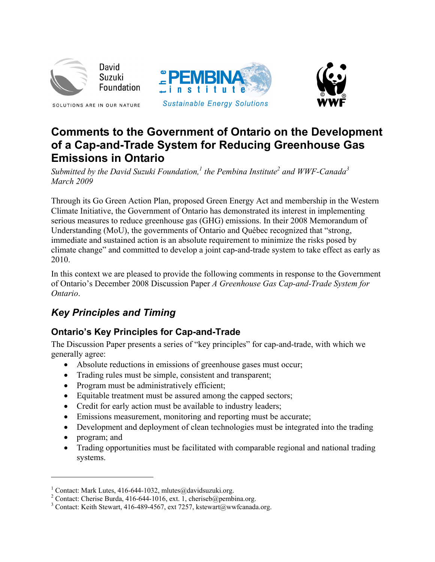

David Suzuki Foundation

SOLUTIONS ARE IN OUR NATURE





# **Comments to the Government of Ontario on the Development of a Cap-and-Trade System for Reducing Greenhouse Gas Emissions in Ontario**

*Submitted by the David Suzuki Foundation,<sup>1</sup> the Pembina Institute<sup>2</sup> and WWF-Canada<sup>3</sup> March 2009* 

Through its Go Green Action Plan, proposed Green Energy Act and membership in the Western Climate Initiative, the Government of Ontario has demonstrated its interest in implementing serious measures to reduce greenhouse gas (GHG) emissions. In their 2008 Memorandum of Understanding (MoU), the governments of Ontario and Québec recognized that "strong, immediate and sustained action is an absolute requirement to minimize the risks posed by climate change" and committed to develop a joint cap-and-trade system to take effect as early as 2010.

In this context we are pleased to provide the following comments in response to the Government of Ontario's December 2008 Discussion Paper *A Greenhouse Gas Cap-and-Trade System for Ontario*.

# *Key Principles and Timing*

# **Ontario's Key Principles for Cap-and-Trade**

The Discussion Paper presents a series of "key principles" for cap-and-trade, with which we generally agree:

- Absolute reductions in emissions of greenhouse gases must occur;
- Trading rules must be simple, consistent and transparent;
- Program must be administratively efficient;
- Equitable treatment must be assured among the capped sectors;
- Credit for early action must be available to industry leaders;
- Emissions measurement, monitoring and reporting must be accurate;
- Development and deployment of clean technologies must be integrated into the trading
- program; and

 $\overline{a}$ 

• Trading opportunities must be facilitated with comparable regional and national trading systems.

<sup>&</sup>lt;sup>1</sup> Contact: Mark Lutes, 416-644-1032, mlutes@davidsuzuki.org.<br><sup>2</sup> Contact: Charise Burde, 416-644-1016, avt. 1. shoriseb@pambi

<sup>&</sup>lt;sup>2</sup> Contact: Cherise Burda, 416-644-1016, ext. 1, cheriseb@pembina.org.

<sup>&</sup>lt;sup>3</sup> Contact: Keith Stewart, 416-489-4567, ext 7257, kstewart@wwfcanada.org.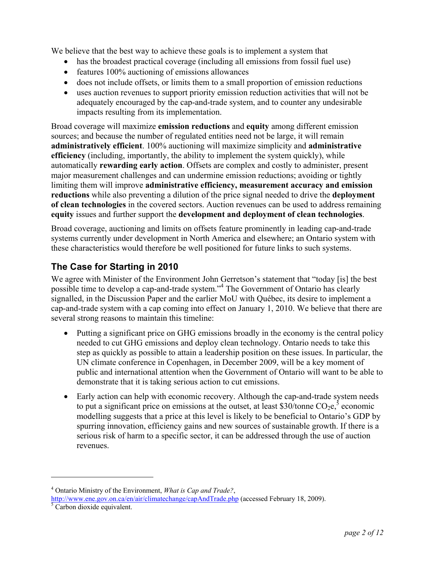We believe that the best way to achieve these goals is to implement a system that

- has the broadest practical coverage (including all emissions from fossil fuel use)
- features 100% auctioning of emissions allowances
- does not include offsets, or limits them to a small proportion of emission reductions
- uses auction revenues to support priority emission reduction activities that will not be adequately encouraged by the cap-and-trade system, and to counter any undesirable impacts resulting from its implementation.

Broad coverage will maximize **emission reductions** and **equity** among different emission sources; and because the number of regulated entities need not be large, it will remain **administratively efficient**. 100% auctioning will maximize simplicity and **administrative efficiency** (including, importantly, the ability to implement the system quickly), while automatically **rewarding early action**. Offsets are complex and costly to administer, present major measurement challenges and can undermine emission reductions; avoiding or tightly limiting them will improve **administrative efficiency, measurement accuracy and emission reductions** while also preventing a dilution of the price signal needed to drive the **deployment of clean technologies** in the covered sectors. Auction revenues can be used to address remaining **equity** issues and further support the **development and deployment of clean technologies**.

Broad coverage, auctioning and limits on offsets feature prominently in leading cap-and-trade systems currently under development in North America and elsewhere; an Ontario system with these characteristics would therefore be well positioned for future links to such systems.

### **The Case for Starting in 2010**

We agree with Minister of the Environment John Gerretson's statement that "today [is] the best possible time to develop a cap-and-trade system."<sup>4</sup> The Government of Ontario has clearly signalled, in the Discussion Paper and the earlier MoU with Québec, its desire to implement a cap-and-trade system with a cap coming into effect on January 1, 2010. We believe that there are several strong reasons to maintain this timeline:

- Putting a significant price on GHG emissions broadly in the economy is the central policy needed to cut GHG emissions and deploy clean technology. Ontario needs to take this step as quickly as possible to attain a leadership position on these issues. In particular, the UN climate conference in Copenhagen, in December 2009, will be a key moment of public and international attention when the Government of Ontario will want to be able to demonstrate that it is taking serious action to cut emissions.
- Early action can help with economic recovery. Although the cap-and-trade system needs to put a significant price on emissions at the outset, at least \$30/tonne  $CO_2e$ , economic modelling suggests that a price at this level is likely to be beneficial to Ontario's GDP by spurring innovation, efficiency gains and new sources of sustainable growth. If there is a serious risk of harm to a specific sector, it can be addressed through the use of auction revenues.

1

<sup>4</sup> Ontario Ministry of the Environment, *What is Cap and Trade?*, <http://www.ene.gov.on.ca/en/air/climatechange/capAndTrade.php> (accessed February 18, 2009).<br><sup>[5](http://www.ene.gov.on.ca/en/air/climatechange/capAndTrade.php)</sup> Carbon dioxide equivalent.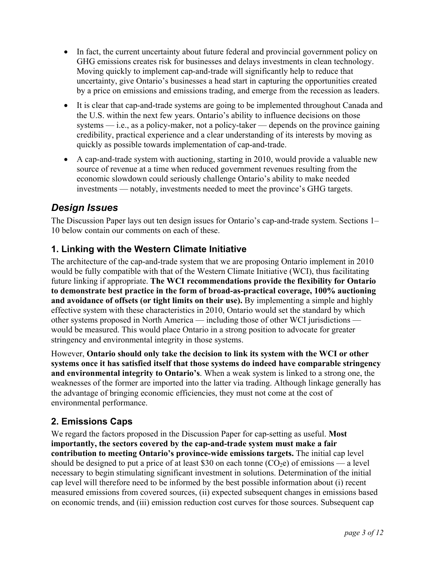- In fact, the current uncertainty about future federal and provincial government policy on GHG emissions creates risk for businesses and delays investments in clean technology. Moving quickly to implement cap-and-trade will significantly help to reduce that uncertainty, give Ontario's businesses a head start in capturing the opportunities created by a price on emissions and emissions trading, and emerge from the recession as leaders.
- It is clear that cap-and-trade systems are going to be implemented throughout Canada and the U.S. within the next few years. Ontario's ability to influence decisions on those systems — i.e., as a policy-maker, not a policy-taker — depends on the province gaining credibility, practical experience and a clear understanding of its interests by moving as quickly as possible towards implementation of cap-and-trade.
- A cap-and-trade system with auctioning, starting in 2010, would provide a valuable new source of revenue at a time when reduced government revenues resulting from the economic slowdown could seriously challenge Ontario's ability to make needed investments — notably, investments needed to meet the province's GHG targets.

## *Design Issues*

The Discussion Paper lays out ten design issues for Ontario's cap-and-trade system. Sections 1– 10 below contain our comments on each of these.

### **1. Linking with the Western Climate Initiative**

The architecture of the cap-and-trade system that we are proposing Ontario implement in 2010 would be fully compatible with that of the Western Climate Initiative (WCI), thus facilitating future linking if appropriate. **The WCI recommendations provide the flexibility for Ontario to demonstrate best practice in the form of broad-as-practical coverage, 100% auctioning and avoidance of offsets (or tight limits on their use).** By implementing a simple and highly effective system with these characteristics in 2010, Ontario would set the standard by which other systems proposed in North America — including those of other WCI jurisdictions would be measured. This would place Ontario in a strong position to advocate for greater stringency and environmental integrity in those systems.

However, **Ontario should only take the decision to link its system with the WCI or other systems once it has satisfied itself that those systems do indeed have comparable stringency and environmental integrity to Ontario's**. When a weak system is linked to a strong one, the weaknesses of the former are imported into the latter via trading. Although linkage generally has the advantage of bringing economic efficiencies, they must not come at the cost of environmental performance.

### **2. Emissions Caps**

We regard the factors proposed in the Discussion Paper for cap-setting as useful. **Most importantly, the sectors covered by the cap-and-trade system must make a fair contribution to meeting Ontario's province-wide emissions targets.** The initial cap level should be designed to put a price of at least \$30 on each tonne  $(CO_2e)$  of emissions — a level necessary to begin stimulating significant investment in solutions. Determination of the initial cap level will therefore need to be informed by the best possible information about (i) recent measured emissions from covered sources, (ii) expected subsequent changes in emissions based on economic trends, and (iii) emission reduction cost curves for those sources. Subsequent cap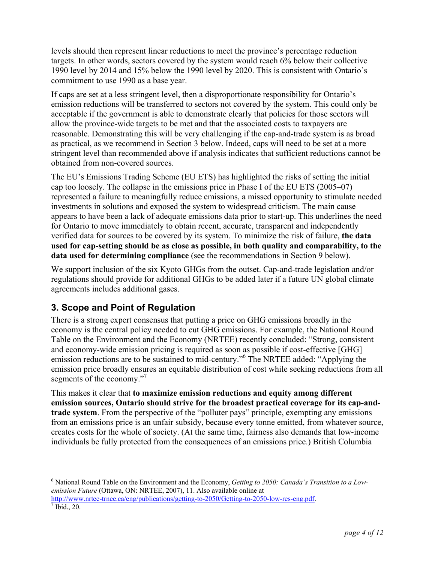levels should then represent linear reductions to meet the province's percentage reduction targets. In other words, sectors covered by the system would reach 6% below their collective 1990 level by 2014 and 15% below the 1990 level by 2020. This is consistent with Ontario's commitment to use 1990 as a base year.

If caps are set at a less stringent level, then a disproportionate responsibility for Ontario's emission reductions will be transferred to sectors not covered by the system. This could only be acceptable if the government is able to demonstrate clearly that policies for those sectors will allow the province-wide targets to be met and that the associated costs to taxpayers are reasonable. Demonstrating this will be very challenging if the cap-and-trade system is as broad as practical, as we recommend in Section 3 below. Indeed, caps will need to be set at a more stringent level than recommended above if analysis indicates that sufficient reductions cannot be obtained from non-covered sources.

The EU's Emissions Trading Scheme (EU ETS) has highlighted the risks of setting the initial cap too loosely. The collapse in the emissions price in Phase I of the EU ETS (2005–07) represented a failure to meaningfully reduce emissions, a missed opportunity to stimulate needed investments in solutions and exposed the system to widespread criticism. The main cause appears to have been a lack of adequate emissions data prior to start-up. This underlines the need for Ontario to move immediately to obtain recent, accurate, transparent and independently verified data for sources to be covered by its system. To minimize the risk of failure, **the data used for cap-setting should be as close as possible, in both quality and comparability, to the data used for determining compliance** (see the recommendations in Section 9 below).

We support inclusion of the six Kyoto GHGs from the outset. Cap-and-trade legislation and/or regulations should provide for additional GHGs to be added later if a future UN global climate agreements includes additional gases.

### **3. Scope and Point of Regulation**

There is a strong expert consensus that putting a price on GHG emissions broadly in the economy is the central policy needed to cut GHG emissions. For example, the National Round Table on the Environment and the Economy (NRTEE) recently concluded: "Strong, consistent and economy-wide emission pricing is required as soon as possible if cost-effective [GHG] emission reductions are to be sustained to mid-century."<sup>6</sup> The NRTEE added: "Applying the emission price broadly ensures an equitable distribution of cost while seeking reductions from all segments of the economy."<sup>7</sup>

This makes it clear that **to maximize emission reductions and equity among different emission sources, Ontario should strive for the broadest practical coverage for its cap-andtrade system**. From the perspective of the "polluter pays" principle, exempting any emissions from an emissions price is an unfair subsidy, because every tonne emitted, from whatever source, creates costs for the whole of society. (At the same time, fairness also demands that low-income individuals be fully protected from the consequences of an emissions price.) British Columbia

<u>.</u>

<sup>6</sup> National Round Table on the Environment and the Economy, *Getting to 2050: Canada's Transition to a Lowemission Future* (Ottawa, ON: NRTEE, 2007), 11. Also available online at [http://www.nrtee-trnee.ca/eng/publications/getting-to-2050/Getting-to-2050-low-res-eng.pdf.](http://www.nrtee-trnee.ca/eng/publications/getting-to-2050/Getting-to-2050-low-res-eng.pdf)

 $^7$  Ibid., 20.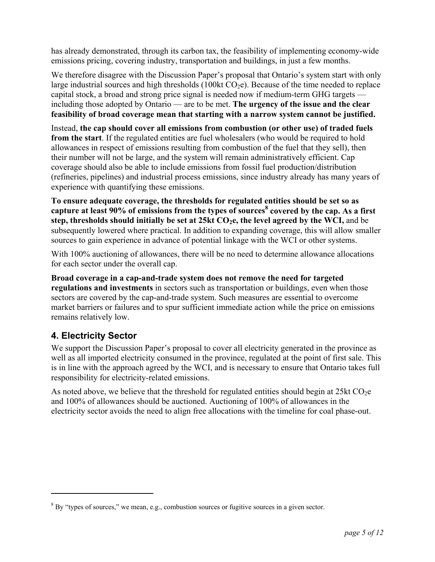has already demonstrated, through its carbon tax, the feasibility of implementing economy-wide emissions pricing, covering industry, transportation and buildings, in just a few months.

We therefore disagree with the Discussion Paper's proposal that Ontario's system start with only large industrial sources and high thresholds (100kt  $CO<sub>2</sub>e$ ). Because of the time needed to replace capital stock, a broad and strong price signal is needed now if medium-term GHG targets including those adopted by Ontario — are to be met. **The urgency of the issue and the clear feasibility of broad coverage mean that starting with a narrow system cannot be justified.**

Instead, **the cap should cover all emissions from combustion (or other use) of traded fuels from the start**. If the regulated entities are fuel wholesalers (who would be required to hold allowances in respect of emissions resulting from combustion of the fuel that they sell), then their number will not be large, and the system will remain administratively efficient. Cap coverage should also be able to include emissions from fossil fuel production/distribution (refineries, pipelines) and industrial process emissions, since industry already has many years of experience with quantifying these emissions.

**To ensure adequate coverage, the thresholds for regulated entities should be set so as capture at least 90% of emissions from the types of sources<sup>8</sup> covered by the cap. As a first**  step, thresholds should initially be set at  $25kt CO<sub>2</sub>e$ , the level agreed by the WCI, and be subsequently lowered where practical. In addition to expanding coverage, this will allow smaller sources to gain experience in advance of potential linkage with the WCI or other systems.

With 100% auctioning of allowances, there will be no need to determine allowance allocations for each sector under the overall cap.

**Broad coverage in a cap-and-trade system does not remove the need for targeted regulations and investments** in sectors such as transportation or buildings, even when those sectors are covered by the cap-and-trade system. Such measures are essential to overcome market barriers or failures and to spur sufficient immediate action while the price on emissions remains relatively low.

### **4. Electricity Sector**

 $\overline{a}$ 

We support the Discussion Paper's proposal to cover all electricity generated in the province as well as all imported electricity consumed in the province, regulated at the point of first sale. This is in line with the approach agreed by the WCI, and is necessary to ensure that Ontario takes full responsibility for electricity-related emissions.

As noted above, we believe that the threshold for regulated entities should begin at  $25kt CO<sub>2</sub>e$ and 100% of allowances should be auctioned. Auctioning of 100% of allowances in the electricity sector avoids the need to align free allocations with the timeline for coal phase-out.

 $8$  By "types of sources," we mean, e.g., combustion sources or fugitive sources in a given sector.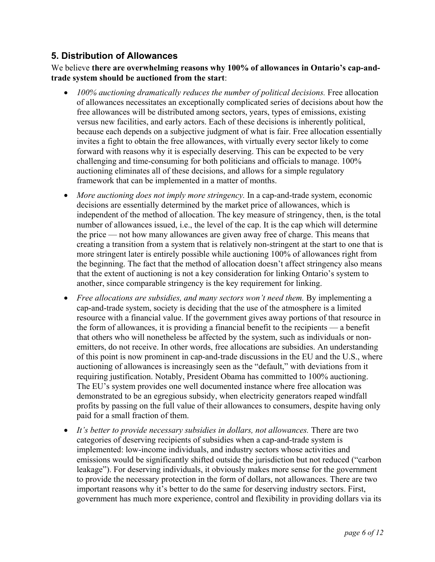### **5. Distribution of Allowances**

#### We believe **there are overwhelming reasons why 100% of allowances in Ontario's cap-andtrade system should be auctioned from the start**:

- *100% auctioning dramatically reduces the number of political decisions.* Free allocation of allowances necessitates an exceptionally complicated series of decisions about how the free allowances will be distributed among sectors, years, types of emissions, existing versus new facilities, and early actors. Each of these decisions is inherently political, because each depends on a subjective judgment of what is fair. Free allocation essentially invites a fight to obtain the free allowances, with virtually every sector likely to come forward with reasons why it is especially deserving. This can be expected to be very challenging and time-consuming for both politicians and officials to manage. 100% auctioning eliminates all of these decisions, and allows for a simple regulatory framework that can be implemented in a matter of months.
- *More auctioning does not imply more stringency*. In a cap-and-trade system, economic decisions are essentially determined by the market price of allowances, which is independent of the method of allocation. The key measure of stringency, then, is the total number of allowances issued, i.e., the level of the cap. It is the cap which will determine the price — not how many allowances are given away free of charge. This means that creating a transition from a system that is relatively non-stringent at the start to one that is more stringent later is entirely possible while auctioning 100% of allowances right from the beginning. The fact that the method of allocation doesn't affect stringency also means that the extent of auctioning is not a key consideration for linking Ontario's system to another, since comparable stringency is the key requirement for linking.
- *Free allocations are subsidies, and many sectors won't need them.* By implementing a cap-and-trade system, society is deciding that the use of the atmosphere is a limited resource with a financial value. If the government gives away portions of that resource in the form of allowances, it is providing a financial benefit to the recipients — a benefit that others who will nonetheless be affected by the system, such as individuals or nonemitters, do not receive. In other words, free allocations are subsidies. An understanding of this point is now prominent in cap-and-trade discussions in the EU and the U.S., where auctioning of allowances is increasingly seen as the "default," with deviations from it requiring justification. Notably, President Obama has committed to 100% auctioning. The EU's system provides one well documented instance where free allocation was demonstrated to be an egregious subsidy, when electricity generators reaped windfall profits by passing on the full value of their allowances to consumers, despite having only paid for a small fraction of them.
- *It's better to provide necessary subsidies in dollars, not allowances.* There are two categories of deserving recipients of subsidies when a cap-and-trade system is implemented: low-income individuals, and industry sectors whose activities and emissions would be significantly shifted outside the jurisdiction but not reduced ("carbon leakage"). For deserving individuals, it obviously makes more sense for the government to provide the necessary protection in the form of dollars, not allowances. There are two important reasons why it's better to do the same for deserving industry sectors. First, government has much more experience, control and flexibility in providing dollars via its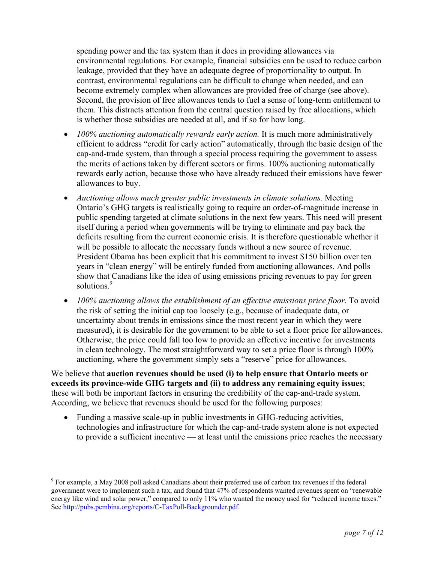spending power and the tax system than it does in providing allowances via environmental regulations. For example, financial subsidies can be used to reduce carbon leakage, provided that they have an adequate degree of proportionality to output. In contrast, environmental regulations can be difficult to change when needed, and can become extremely complex when allowances are provided free of charge (see above). Second, the provision of free allowances tends to fuel a sense of long-term entitlement to them. This distracts attention from the central question raised by free allocations, which is whether those subsidies are needed at all, and if so for how long.

- *100% auctioning automatically rewards early action.* It is much more administratively efficient to address "credit for early action" automatically, through the basic design of the cap-and-trade system, than through a special process requiring the government to assess the merits of actions taken by different sectors or firms. 100% auctioning automatically rewards early action, because those who have already reduced their emissions have fewer allowances to buy.
- *Auctioning allows much greater public investments in climate solutions.* Meeting Ontario's GHG targets is realistically going to require an order-of-magnitude increase in public spending targeted at climate solutions in the next few years. This need will present itself during a period when governments will be trying to eliminate and pay back the deficits resulting from the current economic crisis. It is therefore questionable whether it will be possible to allocate the necessary funds without a new source of revenue. President Obama has been explicit that his commitment to invest \$150 billion over ten years in "clean energy" will be entirely funded from auctioning allowances. And polls show that Canadians like the idea of using emissions pricing revenues to pay for green solutions.<sup>9</sup>
- *100% auctioning allows the establishment of an effective emissions price floor.* To avoid the risk of setting the initial cap too loosely (e.g., because of inadequate data, or uncertainty about trends in emissions since the most recent year in which they were measured), it is desirable for the government to be able to set a floor price for allowances. Otherwise, the price could fall too low to provide an effective incentive for investments in clean technology. The most straightforward way to set a price floor is through 100% auctioning, where the government simply sets a "reserve" price for allowances.

We believe that **auction revenues should be used (i) to help ensure that Ontario meets or exceeds its province-wide GHG targets and (ii) to address any remaining equity issues**; these will both be important factors in ensuring the credibility of the cap-and-trade system. According, we believe that revenues should be used for the following purposes:

• Funding a massive scale-up in public investments in GHG-reducing activities, technologies and infrastructure for which the cap-and-trade system alone is not expected to provide a sufficient incentive — at least until the emissions price reaches the necessary

<u>.</u>

 $9^9$  For example, a May 2008 poll asked Canadians about their preferred use of carbon tax revenues if the federal government were to implement such a tax, and found that 47% of respondents wanted revenues spent on "renewable energy like wind and solar power," compared to only 11% who wanted the money used for "reduced income taxes." See <http://pubs.pembina.org/reports/C-TaxPoll-Backgrounder.pdf>.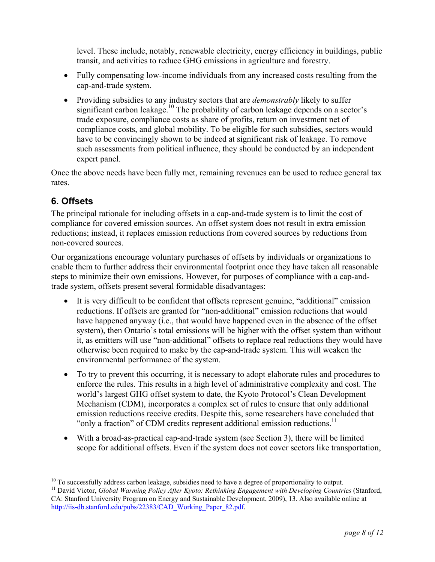level. These include, notably, renewable electricity, energy efficiency in buildings, public transit, and activities to reduce GHG emissions in agriculture and forestry.

- Fully compensating low-income individuals from any increased costs resulting from the cap-and-trade system.
- Providing subsidies to any industry sectors that are *demonstrably* likely to suffer significant carbon leakage.<sup>10</sup> The probability of carbon leakage depends on a sector's trade exposure, compliance costs as share of profits, return on investment net of compliance costs, and global mobility. To be eligible for such subsidies, sectors would have to be convincingly shown to be indeed at significant risk of leakage. To remove such assessments from political influence, they should be conducted by an independent expert panel.

Once the above needs have been fully met, remaining revenues can be used to reduce general tax rates.

### **6. Offsets**

<u>.</u>

The principal rationale for including offsets in a cap-and-trade system is to limit the cost of compliance for covered emission sources. An offset system does not result in extra emission reductions; instead, it replaces emission reductions from covered sources by reductions from non-covered sources.

Our organizations encourage voluntary purchases of offsets by individuals or organizations to enable them to further address their environmental footprint once they have taken all reasonable steps to minimize their own emissions. However, for purposes of compliance with a cap-andtrade system, offsets present several formidable disadvantages:

- It is very difficult to be confident that offsets represent genuine, "additional" emission reductions. If offsets are granted for "non-additional" emission reductions that would have happened anyway (i.e., that would have happened even in the absence of the offset system), then Ontario's total emissions will be higher with the offset system than without it, as emitters will use "non-additional" offsets to replace real reductions they would have otherwise been required to make by the cap-and-trade system. This will weaken the environmental performance of the system.
- To try to prevent this occurring, it is necessary to adopt elaborate rules and procedures to enforce the rules. This results in a high level of administrative complexity and cost. The world's largest GHG offset system to date, the Kyoto Protocol's Clean Development Mechanism (CDM), incorporates a complex set of rules to ensure that only additional emission reductions receive credits. Despite this, some researchers have concluded that "only a fraction" of CDM credits represent additional emission reductions.<sup>11</sup>
- With a broad-as-practical cap-and-trade system (see Section 3), there will be limited scope for additional offsets. Even if the system does not cover sectors like transportation,

<sup>&</sup>lt;sup>10</sup> To successfully address carbon leakage, subsidies need to have a degree of proportionality to output.<br><sup>11</sup> David Victor, *Global Warming Policy After Kyoto: Rethinking Engagement with Developing Countries (Stanford,* 

CA: Stanford University Program on Energy and Sustainable Development, 2009), 13. Also available online at [http://iis-db.stanford.edu/pubs/22383/CAD\\_Working\\_Paper\\_82.pdf](http://iis-db.stanford.edu/pubs/22383/CAD_Working_Paper_82.pdf).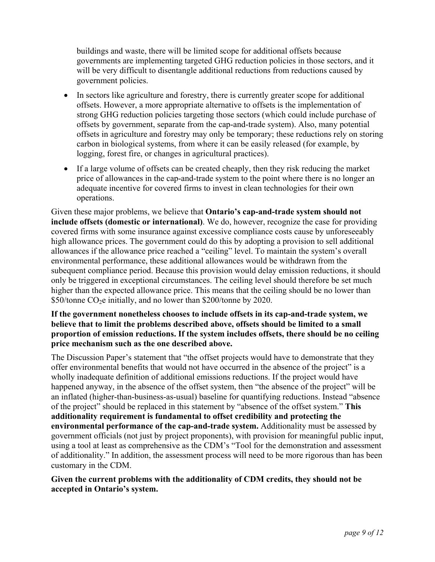buildings and waste, there will be limited scope for additional offsets because governments are implementing targeted GHG reduction policies in those sectors, and it will be very difficult to disentangle additional reductions from reductions caused by government policies.

- In sectors like agriculture and forestry, there is currently greater scope for additional offsets. However, a more appropriate alternative to offsets is the implementation of strong GHG reduction policies targeting those sectors (which could include purchase of offsets by government, separate from the cap-and-trade system). Also, many potential offsets in agriculture and forestry may only be temporary; these reductions rely on storing carbon in biological systems, from where it can be easily released (for example, by logging, forest fire, or changes in agricultural practices).
- If a large volume of offsets can be created cheaply, then they risk reducing the market price of allowances in the cap-and-trade system to the point where there is no longer an adequate incentive for covered firms to invest in clean technologies for their own operations.

Given these major problems, we believe that **Ontario's cap-and-trade system should not include offsets (domestic or international)**. We do, however, recognize the case for providing covered firms with some insurance against excessive compliance costs cause by unforeseeably high allowance prices. The government could do this by adopting a provision to sell additional allowances if the allowance price reached a "ceiling" level. To maintain the system's overall environmental performance, these additional allowances would be withdrawn from the subequent compliance period. Because this provision would delay emission reductions, it should only be triggered in exceptional circumstances. The ceiling level should therefore be set much higher than the expected allowance price. This means that the ceiling should be no lower than  $$50$ /tonne CO<sub>2</sub>e initially, and no lower than  $$200$ /tonne by 2020.

#### **If the government nonetheless chooses to include offsets in its cap-and-trade system, we believe that to limit the problems described above, offsets should be limited to a small proportion of emission reductions. If the system includes offsets, there should be no ceiling price mechanism such as the one described above.**

The Discussion Paper's statement that "the offset projects would have to demonstrate that they offer environmental benefits that would not have occurred in the absence of the project" is a wholly inadequate definition of additional emissions reductions. If the project would have happened anyway, in the absence of the offset system, then "the absence of the project" will be an inflated (higher-than-business-as-usual) baseline for quantifying reductions. Instead "absence of the project" should be replaced in this statement by "absence of the offset system." **This additionality requirement is fundamental to offset credibility and protecting the environmental performance of the cap-and-trade system.** Additionality must be assessed by government officials (not just by project proponents), with provision for meaningful public input, using a tool at least as comprehensive as the CDM's "Tool for the demonstration and assessment of additionality." In addition, the assessment process will need to be more rigorous than has been customary in the CDM.

#### **Given the current problems with the additionality of CDM credits, they should not be accepted in Ontario's system.**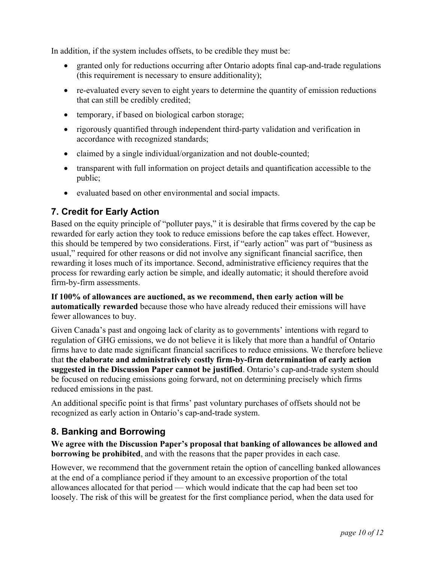In addition, if the system includes offsets, to be credible they must be:

- granted only for reductions occurring after Ontario adopts final cap-and-trade regulations (this requirement is necessary to ensure additionality);
- re-evaluated every seven to eight years to determine the quantity of emission reductions that can still be credibly credited;
- temporary, if based on biological carbon storage;
- rigorously quantified through independent third-party validation and verification in accordance with recognized standards;
- claimed by a single individual/organization and not double-counted;
- transparent with full information on project details and quantification accessible to the public;
- evaluated based on other environmental and social impacts.

### **7. Credit for Early Action**

Based on the equity principle of "polluter pays," it is desirable that firms covered by the cap be rewarded for early action they took to reduce emissions before the cap takes effect. However, this should be tempered by two considerations. First, if "early action" was part of "business as usual," required for other reasons or did not involve any significant financial sacrifice, then rewarding it loses much of its importance. Second, administrative efficiency requires that the process for rewarding early action be simple, and ideally automatic; it should therefore avoid firm-by-firm assessments.

**If 100% of allowances are auctioned, as we recommend, then early action will be automatically rewarded** because those who have already reduced their emissions will have fewer allowances to buy.

Given Canada's past and ongoing lack of clarity as to governments' intentions with regard to regulation of GHG emissions, we do not believe it is likely that more than a handful of Ontario firms have to date made significant financial sacrifices to reduce emissions. We therefore believe that **the elaborate and administratively costly firm-by-firm determination of early action suggested in the Discussion Paper cannot be justified**. Ontario's cap-and-trade system should be focused on reducing emissions going forward, not on determining precisely which firms reduced emissions in the past.

An additional specific point is that firms' past voluntary purchases of offsets should not be recognized as early action in Ontario's cap-and-trade system.

### **8. Banking and Borrowing**

**We agree with the Discussion Paper's proposal that banking of allowances be allowed and borrowing be prohibited**, and with the reasons that the paper provides in each case.

However, we recommend that the government retain the option of cancelling banked allowances at the end of a compliance period if they amount to an excessive proportion of the total allowances allocated for that period — which would indicate that the cap had been set too loosely. The risk of this will be greatest for the first compliance period, when the data used for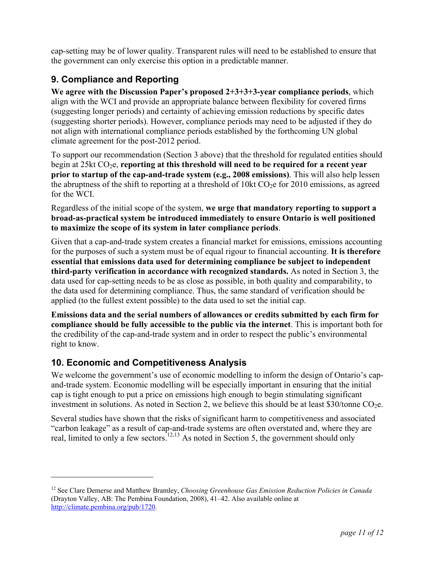cap-setting may be of lower quality. Transparent rules will need to be established to ensure that the government can only exercise this option in a predictable manner.

### **9. Compliance and Reporting**

**We agree with the Discussion Paper's proposed 2+3+3+3-year compliance periods**, which align with the WCI and provide an appropriate balance between flexibility for covered firms (suggesting longer periods) and certainty of achieving emission reductions by specific dates (suggesting shorter periods). However, compliance periods may need to be adjusted if they do not align with international compliance periods established by the forthcoming UN global climate agreement for the post-2012 period.

To support our recommendation (Section 3 above) that the threshold for regulated entities should begin at 25kt CO<sub>2</sub>e, **reporting at this threshold will need to be required for a recent year prior to startup of the cap-and-trade system (e.g., 2008 emissions)**. This will also help lessen the abruptness of the shift to reporting at a threshold of 10kt  $CO<sub>2</sub>e$  for 2010 emissions, as agreed for the WCI.

Regardless of the initial scope of the system, **we urge that mandatory reporting to support a broad-as-practical system be introduced immediately to ensure Ontario is well positioned to maximize the scope of its system in later compliance periods**.

Given that a cap-and-trade system creates a financial market for emissions, emissions accounting for the purposes of such a system must be of equal rigour to financial accounting. **It is therefore essential that emissions data used for determining compliance be subject to independent third-party verification in accordance with recognized standards.** As noted in Section 3, the data used for cap-setting needs to be as close as possible, in both quality and comparability, to the data used for determining compliance. Thus, the same standard of verification should be applied (to the fullest extent possible) to the data used to set the initial cap.

**Emissions data and the serial numbers of allowances or credits submitted by each firm for compliance should be fully accessible to the public via the internet**. This is important both for the credibility of the cap-and-trade system and in order to respect the public's environmental right to know.

### **10. Economic and Competitiveness Analysis**

1

We welcome the government's use of economic modelling to inform the design of Ontario's capand-trade system. Economic modelling will be especially important in ensuring that the initial cap is tight enough to put a price on emissions high enough to begin stimulating significant investment in solutions. As noted in Section 2, we believe this should be at least  $$30/tonne CO<sub>2</sub>e$ .

Several studies have shown that the risks of significant harm to competitiveness and associated "carbon leakage" as a result of cap-and-trade systems are often overstated and, where they are real, limited to only a few sectors.<sup>12,13</sup> As noted in Section 5, the government should only

<sup>12</sup> See Clare Demerse and Matthew Bramley, *Choosing Greenhouse Gas Emission Reduction Policies in Canada* (Drayton Valley, AB: The Pembina Foundation, 2008), 41–42. Also available online at [http://climate.pembina.org/pub/1720.](http://climate.pembina.org/pub/1720)